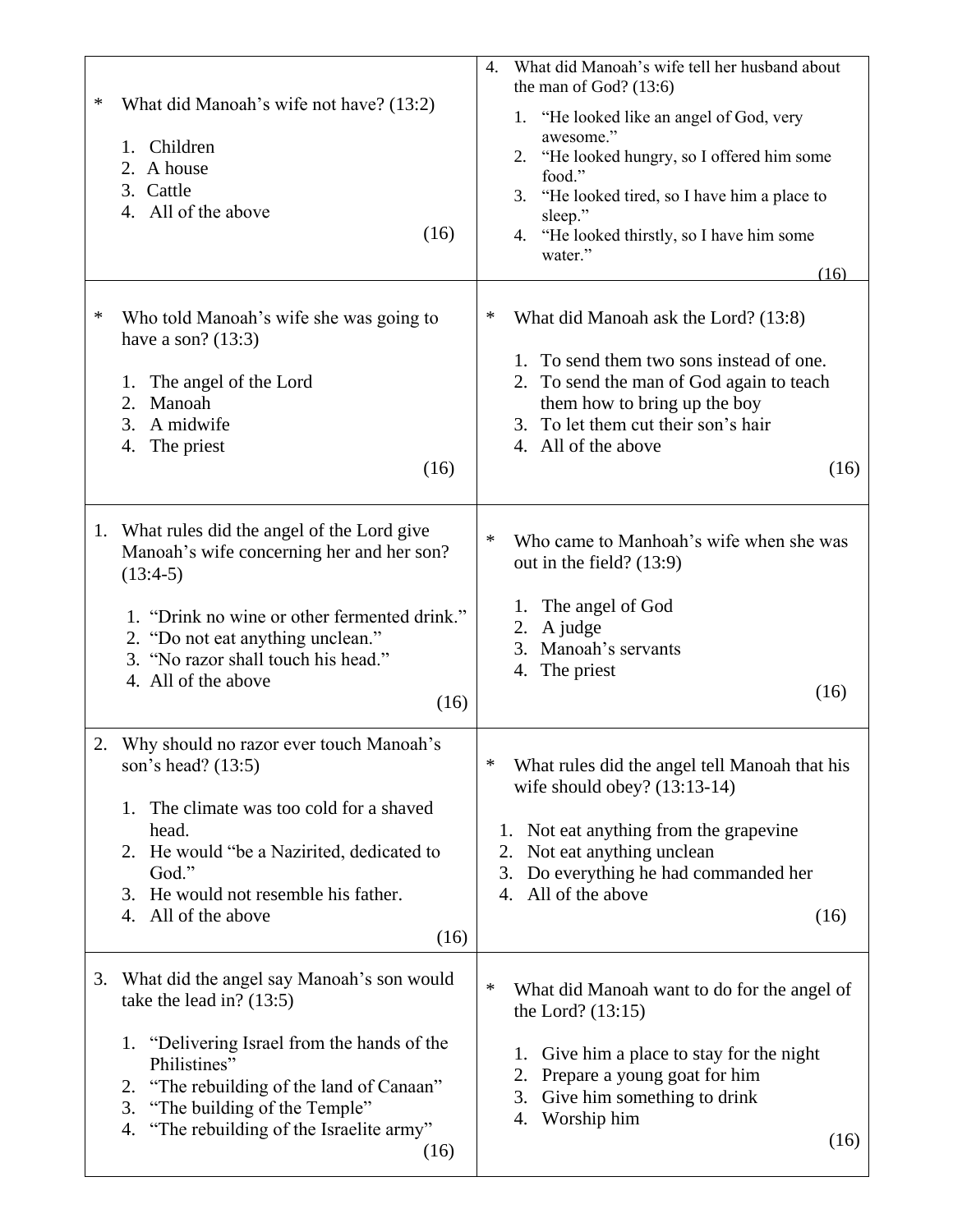| ∗<br>∗ | What did Manoah's wife not have? (13:2)<br>1. Children<br>A house<br>2.<br>3. Cattle<br>4. All of the above<br>(16)<br>Who told Manoah's wife she was going to<br>have a son? $(13:3)$<br>The angel of the Lord<br>1.<br>Manoah<br>2.<br>A midwife<br>3.<br>The priest<br>4.<br>(16) | What did Manoah's wife tell her husband about<br>4.<br>the man of God? $(13:6)$<br>1. "He looked like an angel of God, very<br>awesome."<br>2. "He looked hungry, so I offered him some<br>food."<br>"He looked tired, so I have him a place to<br>3.<br>sleep."<br>4. "He looked thirstly, so I have him some<br>water."<br>(16)<br>∗<br>What did Manoah ask the Lord? (13:8)<br>1. To send them two sons instead of one.<br>2. To send the man of God again to teach<br>them how to bring up the boy<br>3. To let them cut their son's hair<br>4. All of the above<br>(16) |
|--------|--------------------------------------------------------------------------------------------------------------------------------------------------------------------------------------------------------------------------------------------------------------------------------------|------------------------------------------------------------------------------------------------------------------------------------------------------------------------------------------------------------------------------------------------------------------------------------------------------------------------------------------------------------------------------------------------------------------------------------------------------------------------------------------------------------------------------------------------------------------------------|
| 1.     | What rules did the angel of the Lord give<br>Manoah's wife concerning her and her son?<br>$(13:4-5)$<br>1. "Drink no wine or other fermented drink."<br>2. "Do not eat anything unclean."<br>3. "No razor shall touch his head."<br>4. All of the above<br>(16)                      | Who came to Manhoah's wife when she was<br>∗<br>out in the field? $(13:9)$<br>The angel of God<br>1.<br>A judge<br>2.<br>Manoah's servants<br>3.<br>The priest<br>4.<br>(16)                                                                                                                                                                                                                                                                                                                                                                                                 |
| 2.     | Why should no razor ever touch Manoah's<br>son's head? (13:5)<br>The climate was too cold for a shaved<br>1.<br>head.<br>2. He would "be a Nazirited, dedicated to<br>God."<br>He would not resemble his father.<br>3.<br>All of the above<br>4.<br>(16)                             | ∗<br>What rules did the angel tell Manoah that his<br>wife should obey? $(13:13-14)$<br>Not eat anything from the grapevine<br>1.<br>Not eat anything unclean<br>2.<br>Do everything he had commanded her<br>3.<br>All of the above<br>4.<br>(16)                                                                                                                                                                                                                                                                                                                            |
| 3.     | What did the angel say Manoah's son would<br>take the lead in? $(13:5)$<br>1. "Delivering Israel from the hands of the<br>Philistines"<br>"The rebuilding of the land of Canaan"<br>2.<br>"The building of the Temple"<br>3.<br>"The rebuilding of the Israelite army"<br>4.<br>(16) | ∗<br>What did Manoah want to do for the angel of<br>the Lord? $(13:15)$<br>Give him a place to stay for the night<br>1.<br>Prepare a young goat for him<br>2.<br>Give him something to drink<br>3.<br>Worship him<br>4.<br>(16)                                                                                                                                                                                                                                                                                                                                              |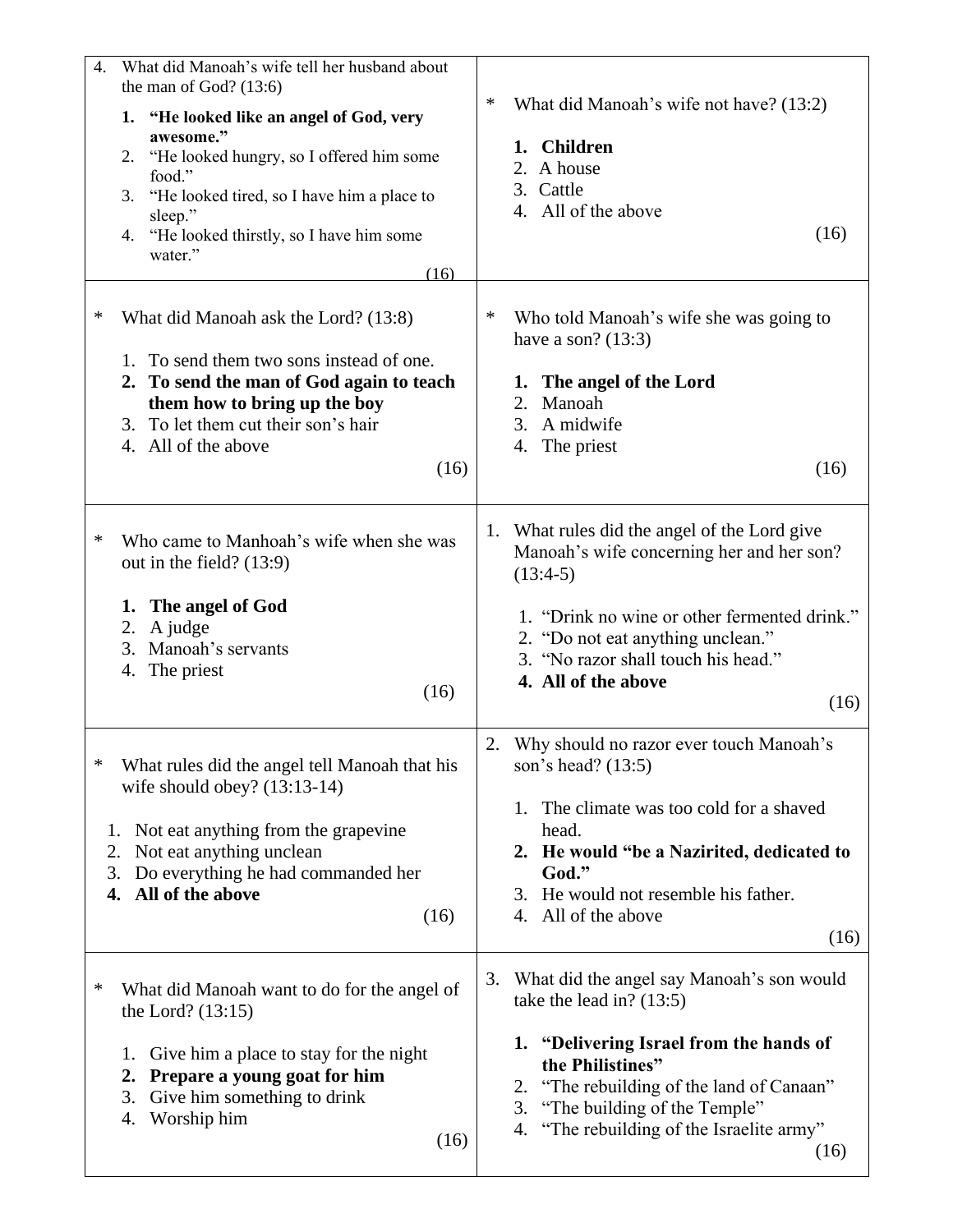| $\overline{4}$ .   | What did Manoah's wife tell her husband about<br>the man of God? $(13:6)$<br>1. "He looked like an angel of God, very<br>awesome."<br>2. "He looked hungry, so I offered him some<br>food."<br>"He looked tired, so I have him a place to<br>3.<br>sleep."<br>4. "He looked thirstly, so I have him some<br>water."<br>(16) | ∗<br>What did Manoah's wife not have? (13:2)<br>1. Children<br>2. A house<br>3. Cattle<br>4. All of the above<br>(16)                                                                                                                                                                                                                                                             |
|--------------------|-----------------------------------------------------------------------------------------------------------------------------------------------------------------------------------------------------------------------------------------------------------------------------------------------------------------------------|-----------------------------------------------------------------------------------------------------------------------------------------------------------------------------------------------------------------------------------------------------------------------------------------------------------------------------------------------------------------------------------|
| ∗                  | What did Manoah ask the Lord? (13:8)<br>1. To send them two sons instead of one.<br>2. To send the man of God again to teach<br>them how to bring up the boy<br>3. To let them cut their son's hair<br>4. All of the above<br>(16)                                                                                          | $\ast$<br>Who told Manoah's wife she was going to<br>have a son? $(13:3)$<br>1. The angel of the Lord<br>Manoah<br>2.<br>3.<br>A midwife<br>4. The priest<br>(16)                                                                                                                                                                                                                 |
| ∗                  | Who came to Manhoah's wife when she was<br>out in the field? $(13:9)$<br>1. The angel of God<br>A judge<br>2.<br>3.<br>Manoah's servants<br>The priest<br>4.<br>(16)                                                                                                                                                        | What rules did the angel of the Lord give<br>1.<br>Manoah's wife concerning her and her son?<br>$(13:4-5)$<br>1. "Drink no wine or other fermented drink."<br>2. "Do not eat anything unclean."<br>3. "No razor shall touch his head."<br>4. All of the above<br>(16)                                                                                                             |
| ∗<br>2.<br>4.<br>∗ | What rules did the angel tell Manoah that his<br>wife should obey? $(13:13-14)$<br>1. Not eat anything from the grapevine<br>Not eat anything unclean<br>3. Do everything he had commanded her<br>All of the above<br>(16)<br>What did Manoah want to do for the angel of<br>the Lord? $(13:15)$                            | Why should no razor ever touch Manoah's<br>2.<br>son's head? (13:5)<br>The climate was too cold for a shaved<br>1.<br>head.<br>2. He would "be a Nazirited, dedicated to<br>God."<br>3. He would not resemble his father.<br>4. All of the above<br>(16)<br>3. What did the angel say Manoah's son would<br>take the lead in? $(13:5)$<br>1. "Delivering Israel from the hands of |
|                    | Give him a place to stay for the night<br>1.<br>Prepare a young goat for him<br>2.<br>3.<br>Give him something to drink<br>Worship him<br>4.<br>(16)                                                                                                                                                                        | the Philistines"<br>"The rebuilding of the land of Canaan"<br>2.<br>"The building of the Temple"<br>3.<br>"The rebuilding of the Israelite army"<br>4.<br>(16)                                                                                                                                                                                                                    |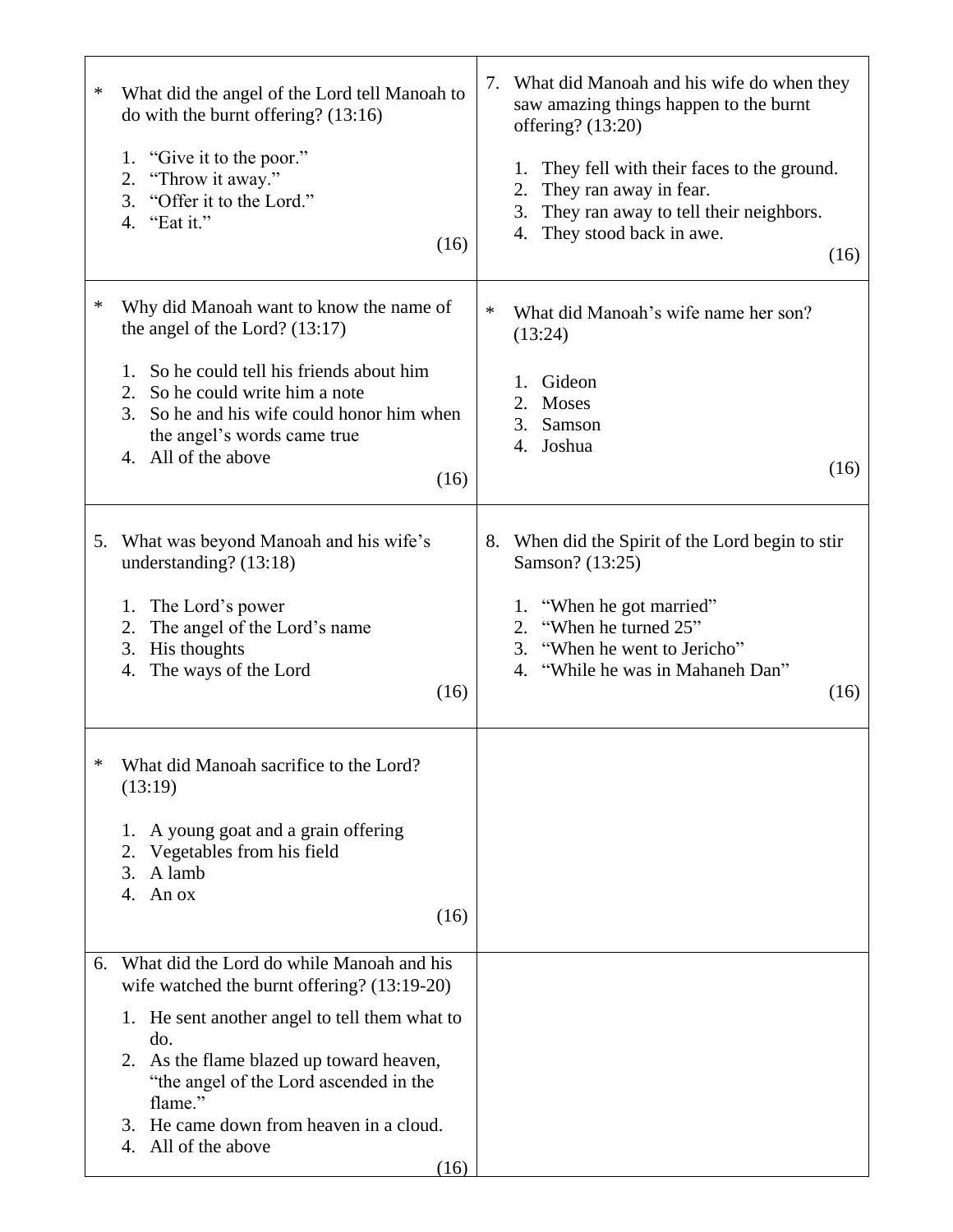| ∗  | What did the angel of the Lord tell Manoah to<br>do with the burnt offering? $(13:16)$<br>"Give it to the poor."<br>1.<br>"Throw it away."<br>2.<br>"Offer it to the Lord."<br>3.<br>4. "Eat it."<br>(16)                                                                                                                      | 7.<br>1.<br>2.<br>3.<br>4.    | What did Manoah and his wife do when they<br>saw amazing things happen to the burnt<br>offering? (13:20)<br>They fell with their faces to the ground.<br>They ran away in fear.<br>They ran away to tell their neighbors.<br>They stood back in awe.<br>(16) |
|----|--------------------------------------------------------------------------------------------------------------------------------------------------------------------------------------------------------------------------------------------------------------------------------------------------------------------------------|-------------------------------|--------------------------------------------------------------------------------------------------------------------------------------------------------------------------------------------------------------------------------------------------------------|
| ∗  | Why did Manoah want to know the name of<br>the angel of the Lord? $(13:17)$<br>1. So he could tell his friends about him<br>2. So he could write him a note<br>3. So he and his wife could honor him when<br>the angel's words came true<br>4. All of the above<br>(16)                                                        | $\ast$<br>(13:24)<br>1.<br>2. | What did Manoah's wife name her son?<br>Gideon<br>Moses<br>3. Samson<br>4. Joshua<br>(16)                                                                                                                                                                    |
| 5. | What was beyond Manoah and his wife's<br>understanding? (13:18)<br>The Lord's power<br>1.<br>2.<br>The angel of the Lord's name<br>His thoughts<br>3.<br>The ways of the Lord<br>4.<br>(16)                                                                                                                                    | 1.<br>2.<br>3.<br>4.          | 8. When did the Spirit of the Lord begin to stir<br>Samson? (13:25)<br>"When he got married"<br>"When he turned 25"<br>"When he went to Jericho"<br>"While he was in Mahaneh Dan"<br>(16)                                                                    |
|    | What did Manoah sacrifice to the Lord?<br>(13:19)<br>A young goat and a grain offering<br>1.<br>Vegetables from his field<br>2.<br>3.<br>A lamb<br>An ox<br>4.<br>(16)                                                                                                                                                         |                               |                                                                                                                                                                                                                                                              |
| 6. | What did the Lord do while Manoah and his<br>wife watched the burnt offering? (13:19-20)<br>1. He sent another angel to tell them what to<br>do.<br>2. As the flame blazed up toward heaven,<br>"the angel of the Lord ascended in the<br>flame."<br>3. He came down from heaven in a cloud.<br>All of the above<br>4.<br>(16) |                               |                                                                                                                                                                                                                                                              |

┱

 $\mathbf{r}$